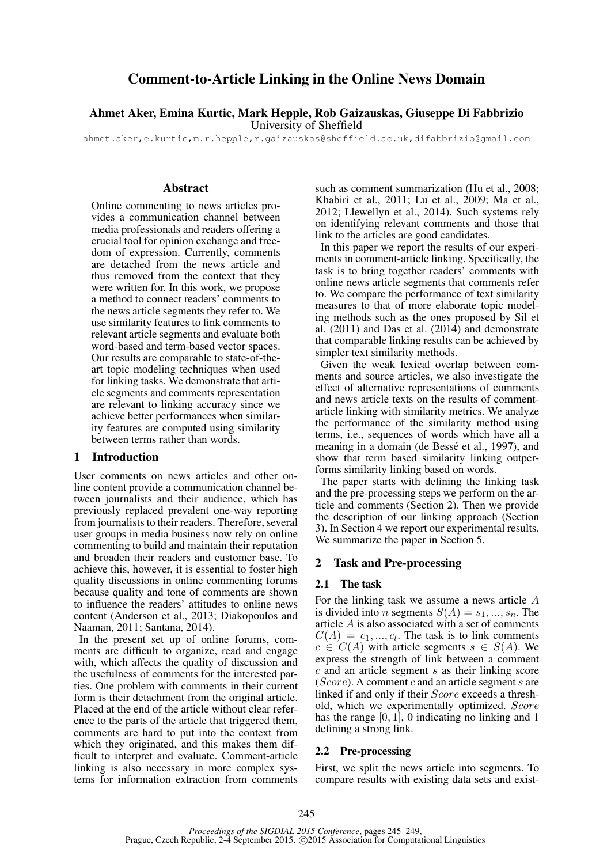# Comment-to-Article Linking in the Online News Domain

## Ahmet Aker, Emina Kurtic, Mark Hepple, Rob Gaizauskas, Giuseppe Di Fabbrizio University of Sheffield

ahmet.aker,e.kurtic,m.r.hepple,r.gaizauskas@sheffield.ac.uk,difabbrizio@gmail.com

## Abstract

Online commenting to news articles provides a communication channel between media professionals and readers offering a crucial tool for opinion exchange and freedom of expression. Currently, comments are detached from the news article and thus removed from the context that they were written for. In this work, we propose a method to connect readers' comments to the news article segments they refer to. We use similarity features to link comments to relevant article segments and evaluate both word-based and term-based vector spaces. Our results are comparable to state-of-theart topic modeling techniques when used for linking tasks. We demonstrate that article segments and comments representation are relevant to linking accuracy since we achieve better performances when similarity features are computed using similarity between terms rather than words.

## 1 Introduction

User comments on news articles and other online content provide a communication channel between journalists and their audience, which has previously replaced prevalent one-way reporting from journalists to their readers. Therefore, several user groups in media business now rely on online commenting to build and maintain their reputation and broaden their readers and customer base. To achieve this, however, it is essential to foster high quality discussions in online commenting forums because quality and tone of comments are shown to influence the readers' attitudes to online news content (Anderson et al., 2013; Diakopoulos and Naaman, 2011; Santana, 2014).

In the present set up of online forums, comments are difficult to organize, read and engage with, which affects the quality of discussion and the usefulness of comments for the interested parties. One problem with comments in their current form is their detachment from the original article. Placed at the end of the article without clear reference to the parts of the article that triggered them, comments are hard to put into the context from which they originated, and this makes them difficult to interpret and evaluate. Comment-article linking is also necessary in more complex systems for information extraction from comments such as comment summarization (Hu et al., 2008; Khabiri et al., 2011; Lu et al., 2009; Ma et al., 2012; Llewellyn et al., 2014). Such systems rely on identifying relevant comments and those that link to the articles are good candidates.

In this paper we report the results of our experiments in comment-article linking. Specifically, the task is to bring together readers' comments with online news article segments that comments refer to. We compare the performance of text similarity measures to that of more elaborate topic modeling methods such as the ones proposed by Sil et al. (2011) and Das et al. (2014) and demonstrate that comparable linking results can be achieved by simpler text similarity methods.

Given the weak lexical overlap between comments and source articles, we also investigate the effect of alternative representations of comments and news article texts on the results of commentarticle linking with similarity metrics. We analyze the performance of the similarity method using terms, i.e., sequences of words which have all a meaning in a domain (de Bessé et al., 1997), and show that term based similarity linking outperforms similarity linking based on words.

The paper starts with defining the linking task and the pre-processing steps we perform on the article and comments (Section 2). Then we provide the description of our linking approach (Section 3). In Section 4 we report our experimental results. We summarize the paper in Section 5.

### 2 Task and Pre-processing

### 2.1 The task

For the linking task we assume a news article A is divided into *n* segments  $S(A) = s_1, ..., s_n$ . The article A is also associated with a set of comments  $C(A) = c_1, ..., c_l$ . The task is to link comments  $c \in C(A)$  with article segments  $s \in S(A)$ . We express the strength of link between a comment  $c$  and an article segment  $s$  as their linking score  $(Score)$ . A comment c and an article segment s are linked if and only if their Score exceeds a threshold, which we experimentally optimized. Score has the range  $[0, 1]$ , 0 indicating no linking and 1 defining a strong link.

#### 2.2 Pre-processing

First, we split the news article into segments. To compare results with existing data sets and exist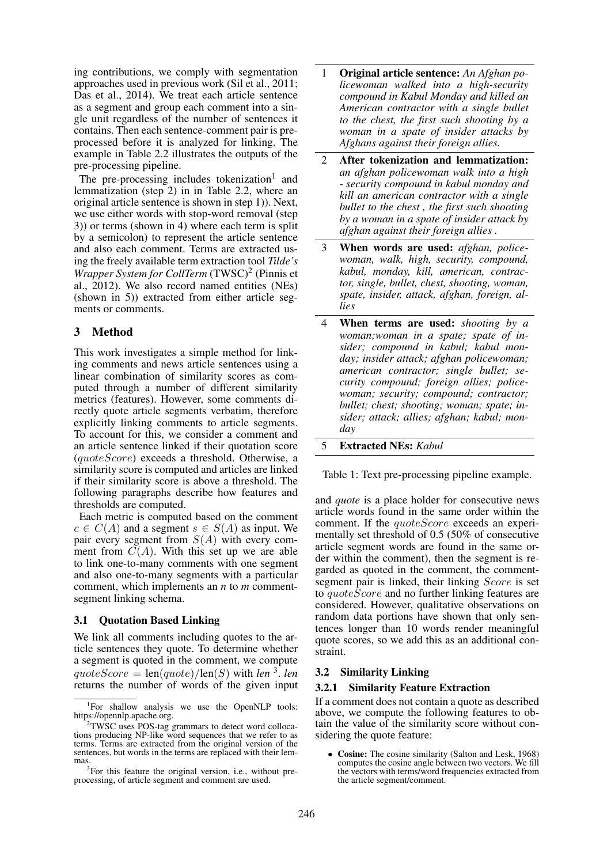ing contributions, we comply with segmentation approaches used in previous work (Sil et al., 2011; Das et al., 2014). We treat each article sentence as a segment and group each comment into a single unit regardless of the number of sentences it contains. Then each sentence-comment pair is preprocessed before it is analyzed for linking. The example in Table 2.2 illustrates the outputs of the pre-processing pipeline.

The pre-processing includes tokenization<sup>1</sup> and lemmatization (step 2) in in Table 2.2, where an original article sentence is shown in step 1)). Next, we use either words with stop-word removal (step 3)) or terms (shown in 4) where each term is split by a semicolon) to represent the article sentence and also each comment. Terms are extracted using the freely available term extraction tool *Tilde's* Wrapper System for CollTerm (TWSC)<sup>2</sup> (Pinnis et al., 2012). We also record named entities (NEs) (shown in 5)) extracted from either article segments or comments.

## 3 Method

This work investigates a simple method for linking comments and news article sentences using a linear combination of similarity scores as computed through a number of different similarity metrics (features). However, some comments directly quote article segments verbatim, therefore explicitly linking comments to article segments. To account for this, we consider a comment and an article sentence linked if their quotation score (quoteScore) exceeds a threshold. Otherwise, a similarity score is computed and articles are linked if their similarity score is above a threshold. The following paragraphs describe how features and thresholds are computed.

Each metric is computed based on the comment  $c \in C(A)$  and a segment  $s \in S(A)$  as input. We pair every segment from  $S(A)$  with every comment from  $C(A)$ . With this set up we are able to link one-to-many comments with one segment and also one-to-many segments with a particular comment, which implements an *n* to *m* commentsegment linking schema.

#### 3.1 Quotation Based Linking

We link all comments including quotes to the article sentences they quote. To determine whether a segment is quoted in the comment, we compute  $quoteScore = len(quote)/len(S)$  with *len* <sup>3</sup>. *len* returns the number of words of the given input

- 1 Original article sentence: *An Afghan policewoman walked into a high-security compound in Kabul Monday and killed an American contractor with a single bullet to the chest, the first such shooting by a woman in a spate of insider attacks by Afghans against their foreign allies.*
- 2 After tokenization and lemmatization: *an afghan policewoman walk into a high - security compound in kabul monday and kill an american contractor with a single bullet to the chest , the first such shooting by a woman in a spate of insider attack by afghan against their foreign allies .*
- 3 When words are used: *afghan, policewoman, walk, high, security, compound, kabul, monday, kill, american, contractor, single, bullet, chest, shooting, woman, spate, insider, attack, afghan, foreign, allies*
- 4 When terms are used: *shooting by a woman;woman in a spate; spate of insider; compound in kabul; kabul monday; insider attack; afghan policewoman; american contractor; single bullet; security compound; foreign allies; policewoman; security; compound; contractor; bullet; chest; shooting; woman; spate; insider; attack; allies; afghan; kabul; monday*
- 5 Extracted NEs: *Kabul*

Table 1: Text pre-processing pipeline example.

and *quote* is a place holder for consecutive news article words found in the same order within the comment. If the *quoteScore* exceeds an experimentally set threshold of 0.5 (50% of consecutive article segment words are found in the same order within the comment), then the segment is regarded as quoted in the comment, the commentsegment pair is linked, their linking *Score* is set to quoteScore and no further linking features are considered. However, qualitative observations on random data portions have shown that only sentences longer than 10 words render meaningful quote scores, so we add this as an additional constraint.

#### 3.2 Similarity Linking

#### 3.2.1 Similarity Feature Extraction

If a comment does not contain a quote as described above, we compute the following features to obtain the value of the similarity score without considering the quote feature:

Cosine: The cosine similarity (Salton and Lesk, 1968) computes the cosine angle between two vectors. We fill the vectors with terms/word frequencies extracted from the article segment/comment.

<sup>&</sup>lt;sup>1</sup>For shallow analysis we use the OpenNLP tools: https://opennlp.apache.org.

<sup>&</sup>lt;sup>2</sup>TWSC uses POS-tag grammars to detect word collocations producing NP-like word sequences that we refer to as terms. Terms are extracted from the original version of the sentences, but words in the terms are replaced with their lemmas.

<sup>&</sup>lt;sup>3</sup>For this feature the original version, i.e., without preprocessing, of article segment and comment are used.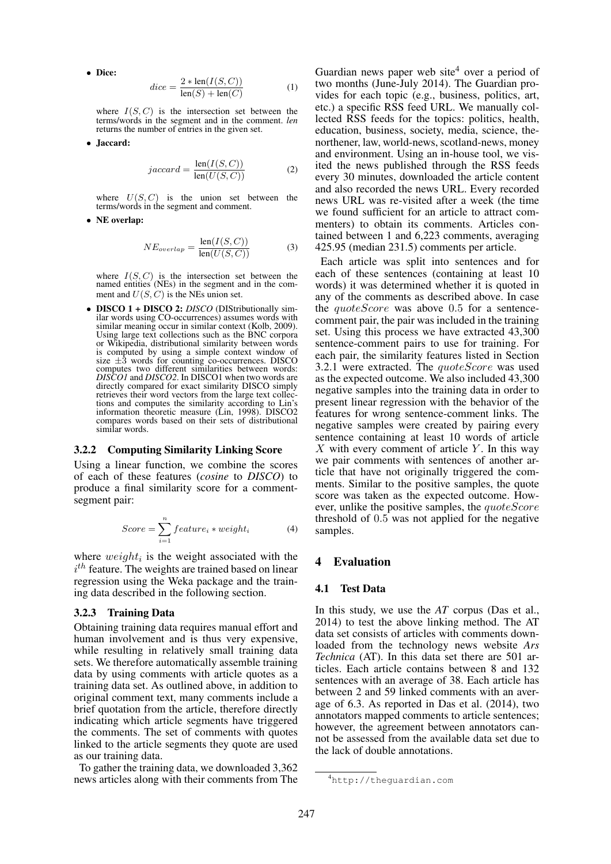• Dice:

$$
dice = \frac{2 * len(I(S, C))}{len(S) + len(C)}
$$
 (1)

where  $I(S, C)$  is the intersection set between the terms/words in the segment and in the comment. *len* returns the number of entries in the given set.

• Jaccard:

$$
jaccard = \frac{\text{len}(I(S, C))}{\text{len}(U(S, C))}
$$
 (2)

where  $U(S, C)$  is the union set between the terms/words in the segment and comment.

• NE overlap:

$$
NE_{overlap} = \frac{\text{len}(I(S, C))}{\text{len}(U(S, C))}
$$
(3)

where  $I(S, C)$  is the intersection set between the named entities (NEs) in the segment and in the comment and  $U(S, C)$  is the NEs union set.

• **DISCO 1 + DISCO 2:** *DISCO* (DIStributionally similar words using CO-occurrences) assumes words with similar meaning occur in similar context (Kolb, 2009). Using large text collections such as the BNC corpora or Wikipedia, distributional similarity between words is computed by using a simple context window of size  $\pm 3$  words for counting co-occurrences. DISCO computes two different similarities between words: *DISCO1* and *DISCO2*. In DISCO1 when two words are directly compared for exact similarity DISCO simply retrieves their word vectors from the large text collections and computes the similarity according to Lin's information theoretic measure (Lin, 1998). DISCO2 compares words based on their sets of distributional similar words.

#### 3.2.2 Computing Similarity Linking Score

Using a linear function, we combine the scores of each of these features (*cosine* to *DISCO*) to produce a final similarity score for a commentsegment pair:

$$
Score = \sum_{i=1}^{n} feature_i * weight_i \tag{4}
$$

where  $weight_i$  is the weight associated with the  $i<sup>th</sup>$  feature. The weights are trained based on linear regression using the Weka package and the training data described in the following section.

#### 3.2.3 Training Data

Obtaining training data requires manual effort and human involvement and is thus very expensive, while resulting in relatively small training data sets. We therefore automatically assemble training data by using comments with article quotes as a training data set. As outlined above, in addition to original comment text, many comments include a brief quotation from the article, therefore directly indicating which article segments have triggered the comments. The set of comments with quotes linked to the article segments they quote are used as our training data.

To gather the training data, we downloaded 3,362 news articles along with their comments from The Guardian news paper web site<sup>4</sup> over a period of two months (June-July 2014). The Guardian provides for each topic (e.g., business, politics, art, etc.) a specific RSS feed URL. We manually collected RSS feeds for the topics: politics, health, education, business, society, media, science, thenorthener, law, world-news, scotland-news, money and environment. Using an in-house tool, we visited the news published through the RSS feeds every 30 minutes, downloaded the article content and also recorded the news URL. Every recorded news URL was re-visited after a week (the time we found sufficient for an article to attract commenters) to obtain its comments. Articles contained between 1 and 6,223 comments, averaging 425.95 (median 231.5) comments per article.

Each article was split into sentences and for each of these sentences (containing at least 10 words) it was determined whether it is quoted in any of the comments as described above. In case the *quoteScore* was above 0.5 for a sentencecomment pair, the pair was included in the training set. Using this process we have extracted  $43,300$ sentence-comment pairs to use for training. For each pair, the similarity features listed in Section 3.2.1 were extracted. The quoteScore was used as the expected outcome. We also included 43,300 negative samples into the training data in order to present linear regression with the behavior of the features for wrong sentence-comment links. The negative samples were created by pairing every sentence containing at least 10 words of article  $X$  with every comment of article Y. In this way we pair comments with sentences of another article that have not originally triggered the comments. Similar to the positive samples, the quote score was taken as the expected outcome. However, unlike the positive samples, the *quoteScore* threshold of 0.5 was not applied for the negative samples.

### 4 Evaluation

### 4.1 Test Data

In this study, we use the *AT* corpus (Das et al., 2014) to test the above linking method. The AT data set consists of articles with comments downloaded from the technology news website *Ars Technica* (AT). In this data set there are 501 articles. Each article contains between 8 and 132 sentences with an average of 38. Each article has between 2 and 59 linked comments with an average of 6.3. As reported in Das et al. (2014), two annotators mapped comments to article sentences; however, the agreement between annotators cannot be assessed from the available data set due to the lack of double annotations.

<sup>4</sup>http://theguardian.com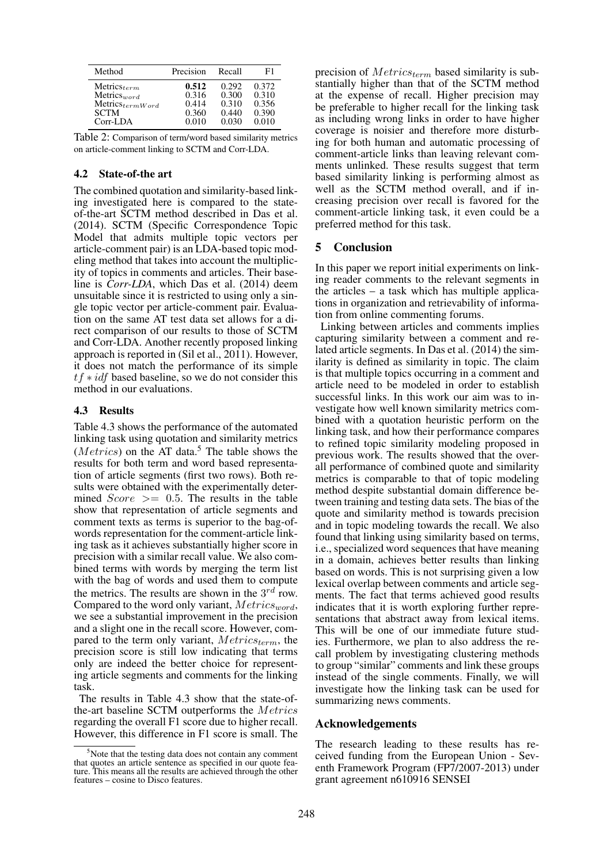| Method               | Precision | Recall | F1    |
|----------------------|-----------|--------|-------|
| $Metrics_{term}$     | 0.512     | 0.292  | 0.372 |
| Metrics $_{word}$    | 0.316     | 0.300  | 0.310 |
| $Metrics_{termWord}$ | 0.414     | 0.310  | 0.356 |
| <b>SCTM</b>          | 0.360     | 0.440  | 0.390 |
| $Corr-LDA$           | 0.010     | 0.030  | 0.010 |

Table 2: Comparison of term/word based similarity metrics on article-comment linking to SCTM and Corr-LDA.

### 4.2 State-of-the art

The combined quotation and similarity-based linking investigated here is compared to the stateof-the-art SCTM method described in Das et al. (2014). SCTM (Specific Correspondence Topic Model that admits multiple topic vectors per article-comment pair) is an LDA-based topic modeling method that takes into account the multiplicity of topics in comments and articles. Their baseline is *Corr-LDA*, which Das et al. (2014) deem unsuitable since it is restricted to using only a single topic vector per article-comment pair. Evaluation on the same AT test data set allows for a direct comparison of our results to those of SCTM and Corr-LDA. Another recently proposed linking approach is reported in (Sil et al., 2011). However, it does not match the performance of its simple  $tf \times idf$  based baseline, so we do not consider this method in our evaluations.

### 4.3 Results

Table 4.3 shows the performance of the automated linking task using quotation and similarity metrics ( $Metrics$ ) on the AT data.<sup>5</sup> The table shows the results for both term and word based representation of article segments (first two rows). Both results were obtained with the experimentally determined  $Score$  >= 0.5. The results in the table show that representation of article segments and comment texts as terms is superior to the bag-ofwords representation for the comment-article linking task as it achieves substantially higher score in precision with a similar recall value. We also combined terms with words by merging the term list with the bag of words and used them to compute the metrics. The results are shown in the  $3^{rd}$  row. Compared to the word only variant,  $Metrics_{word}$ , we see a substantial improvement in the precision and a slight one in the recall score. However, compared to the term only variant,  $Metrics_{term}$ , the precision score is still low indicating that terms only are indeed the better choice for representing article segments and comments for the linking task.

The results in Table 4.3 show that the state-ofthe-art baseline SCTM outperforms the Metrics regarding the overall F1 score due to higher recall. However, this difference in F1 score is small. The precision of  $Metrics_{term}$  based similarity is substantially higher than that of the SCTM method at the expense of recall. Higher precision may be preferable to higher recall for the linking task as including wrong links in order to have higher coverage is noisier and therefore more disturbing for both human and automatic processing of comment-article links than leaving relevant comments unlinked. These results suggest that term based similarity linking is performing almost as well as the SCTM method overall, and if increasing precision over recall is favored for the comment-article linking task, it even could be a preferred method for this task.

## 5 Conclusion

In this paper we report initial experiments on linking reader comments to the relevant segments in the articles – a task which has multiple applications in organization and retrievability of information from online commenting forums.

Linking between articles and comments implies capturing similarity between a comment and related article segments. In Das et al. (2014) the similarity is defined as similarity in topic. The claim is that multiple topics occurring in a comment and article need to be modeled in order to establish successful links. In this work our aim was to investigate how well known similarity metrics combined with a quotation heuristic perform on the linking task, and how their performance compares to refined topic similarity modeling proposed in previous work. The results showed that the overall performance of combined quote and similarity metrics is comparable to that of topic modeling method despite substantial domain difference between training and testing data sets. The bias of the quote and similarity method is towards precision and in topic modeling towards the recall. We also found that linking using similarity based on terms, i.e., specialized word sequences that have meaning in a domain, achieves better results than linking based on words. This is not surprising given a low lexical overlap between comments and article segments. The fact that terms achieved good results indicates that it is worth exploring further representations that abstract away from lexical items. This will be one of our immediate future studies. Furthermore, we plan to also address the recall problem by investigating clustering methods to group "similar" comments and link these groups instead of the single comments. Finally, we will investigate how the linking task can be used for summarizing news comments.

## Acknowledgements

The research leading to these results has received funding from the European Union - Seventh Framework Program (FP7/2007-2013) under grant agreement n610916 SENSEI

 $5$ Note that the testing data does not contain any comment that quotes an article sentence as specified in our quote feature. This means all the results are achieved through the other features – cosine to Disco features.